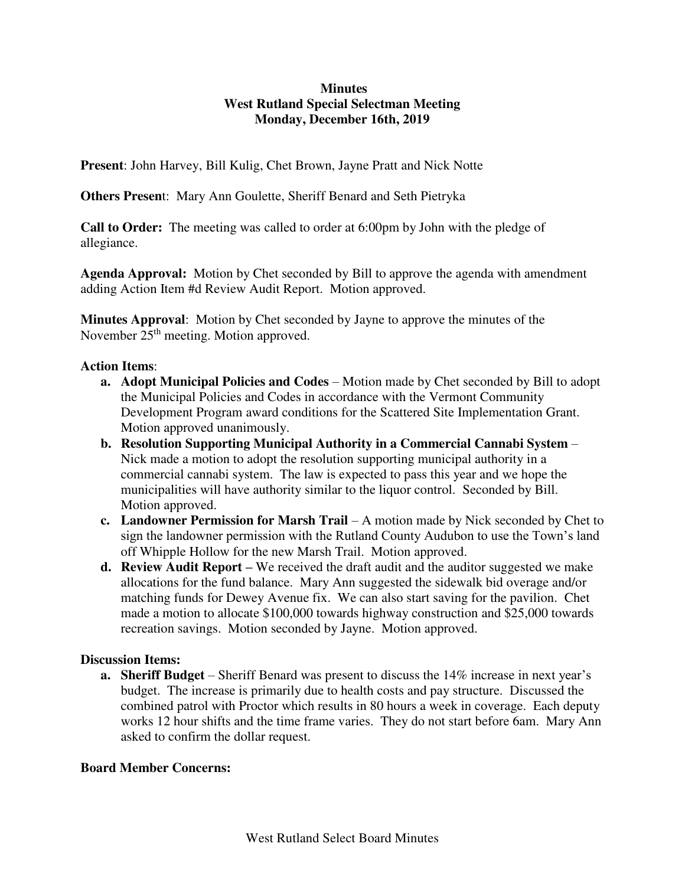## **Minutes West Rutland Special Selectman Meeting Monday, December 16th, 2019**

**Present**: John Harvey, Bill Kulig, Chet Brown, Jayne Pratt and Nick Notte

**Others Presen**t: Mary Ann Goulette, Sheriff Benard and Seth Pietryka

**Call to Order:** The meeting was called to order at 6:00pm by John with the pledge of allegiance.

**Agenda Approval:** Motion by Chet seconded by Bill to approve the agenda with amendment adding Action Item #d Review Audit Report. Motion approved.

**Minutes Approval**: Motion by Chet seconded by Jayne to approve the minutes of the November 25<sup>th</sup> meeting. Motion approved.

## **Action Items**:

- **a. Adopt Municipal Policies and Codes**  Motion made by Chet seconded by Bill to adopt the Municipal Policies and Codes in accordance with the Vermont Community Development Program award conditions for the Scattered Site Implementation Grant. Motion approved unanimously.
- **b. Resolution Supporting Municipal Authority in a Commercial Cannabi System**  Nick made a motion to adopt the resolution supporting municipal authority in a commercial cannabi system. The law is expected to pass this year and we hope the municipalities will have authority similar to the liquor control. Seconded by Bill. Motion approved.
- **c. Landowner Permission for Marsh Trail**  A motion made by Nick seconded by Chet to sign the landowner permission with the Rutland County Audubon to use the Town's land off Whipple Hollow for the new Marsh Trail. Motion approved.
- **d. Review Audit Report** We received the draft audit and the auditor suggested we make allocations for the fund balance. Mary Ann suggested the sidewalk bid overage and/or matching funds for Dewey Avenue fix. We can also start saving for the pavilion. Chet made a motion to allocate \$100,000 towards highway construction and \$25,000 towards recreation savings. Motion seconded by Jayne. Motion approved.

## **Discussion Items:**

**a. Sheriff Budget** – Sheriff Benard was present to discuss the 14% increase in next year's budget. The increase is primarily due to health costs and pay structure. Discussed the combined patrol with Proctor which results in 80 hours a week in coverage. Each deputy works 12 hour shifts and the time frame varies. They do not start before 6am. Mary Ann asked to confirm the dollar request.

## **Board Member Concerns:**